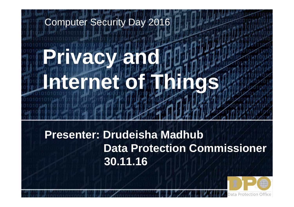# **Privacy and Internet of Things**Computer Security Day 2016

#### **Presenter: Drudeisha Madhub Data Protection Commissioner30.11.16**

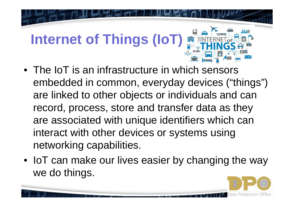# **Internet of Things (IoT)**

- The IoT is an infrastructure in which sensors embedded in common, everyday devices ("things") are linked to other objects or individuals and can record, process, store and transfer data as they are associated with unique identifiers which can interact with other devices or systems using networking capabilities.
- IoT can make our lives easier by changing the way we do things.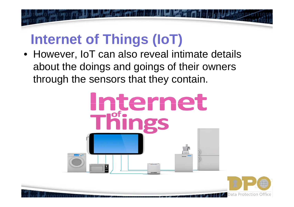## **Internet of Things (IoT)**

 • However, IoT can also reveal intimate details about the doings and goings of their owners through the sensors that they contain.

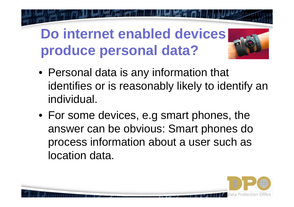#### **Do internet enabled devices produce personal data?**



- Personal data is any information that identifies or is reasonably likely to identify an individual.
- For some devices, e.g smart phones, the answer can be obvious: Smart phones do process information about a user such as location data.

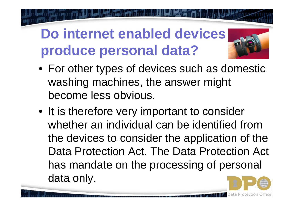#### **Do internet enabled devices produce personal data?**



- For other types of devices such as domestic washing machines, the answer might become less obvious.
- It is therefore very important to consider whether an individual can be identified from the devices to consider the application of the Data Protection Act. The Data Protection Act has mandate on the processing of personal data only.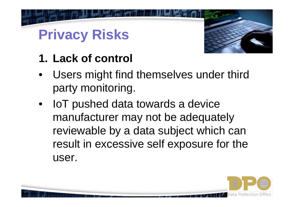

#### **1. Lack of control**

- • Users might find themselves under third party monitoring.
- IoT pushed data towards a device manufacturer may not be adequately reviewable by a data subject which can result in excessive self exposure for the user.

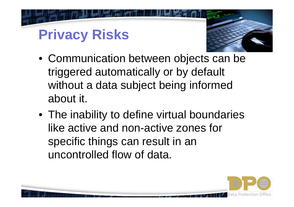

- Communication between objects can be triggered automatically or by default without a data subject being informed about it.
- The inability to define virtual boundaries like active and non-active zones for specific things can result in an uncontrolled flow of data.

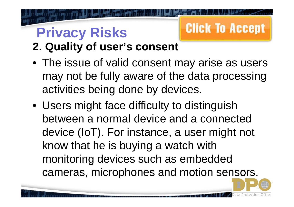# **Click To Accept**

- **2. Quality of user's consent**
- The issue of valid consent may arise as users may not be fully aware of the data processing activities being done by devices.
- Users might face difficulty to distinguish between a normal device and a connected device (IoT). For instance, a user might not know that he is buying a watch with monitoring devices such as embedded cameras, microphones and motion sensors.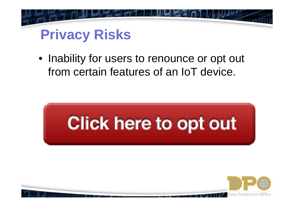

• Inability for users to renounce or opt out from certain features of an IoT device.



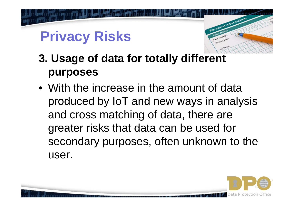

- **3. Usage of data for totally different purposes**
- With the increase in the amount of data produced by IoT and new ways in analysis and cross matching of data, there are greater risks that data can be used for secondary purposes, often unknown to the user.

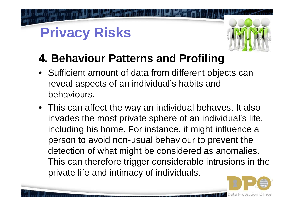

#### **4. Behaviour Patterns and Profiling**

- Sufficient amount of data from different objects can reveal aspects of an individual's habits and behaviours.
- This can affect the way an individual behaves. It also invades the most private sphere of an individual's life, including his home. For instance, it might influence a person to avoid non-usual behaviour to prevent the detection of what might be considered as anomalies.This can therefore trigger considerable intrusions in the private life and intimacy of individuals.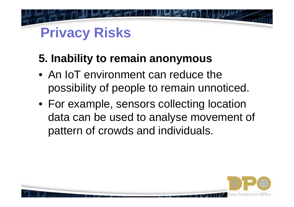#### **5. Inability to remain anonymous**

- An IoT environment can reduce the possibility of people to remain unnoticed.
- For example, sensors collecting location data can be used to analyse movement of pattern of crowds and individuals.

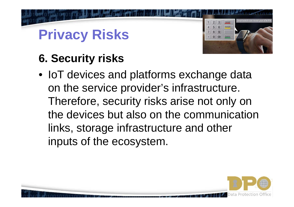

#### **6. Security risks**

• IoT devices and platforms exchange data on the service provider's infrastructure. Therefore, security risks arise not only on the devices but also on the communication links, storage infrastructure and other inputs of the ecosystem.

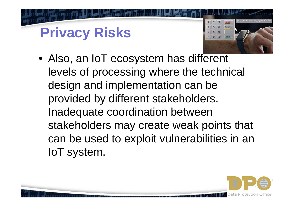

• Also, an IoT ecosystem has different levels of processing where the technical design and implementation can be provided by different stakeholders. Inadequate coordination between stakeholders may create weak points that can be used to exploit vulnerabilities in an IoT system.

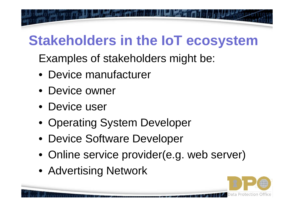# **Stakeholders in the IoT ecosystem**

Examples of stakeholders might be:

- Device manufacturer
- Device owner
- Device user
- Operating System Developer
- Device Software Developer
- Online service provider(e.g. web server)
- Advertising Network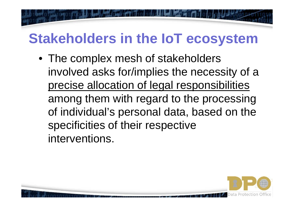# **Stakeholders in the IoT ecosystem**

• The complex mesh of stakeholders involved asks for/implies the necessity of a precise allocation of legal responsibilities among them with regard to the processing of individual's personal data, based on the specificities of their respective interventions.

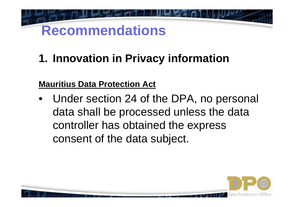**1. Innovation in Privacy information**

#### **Mauritius Data Protection Act**

• Under section 24 of the DPA, no personal data shall be processed unless the data controller has obtained the express consent of the data subject.

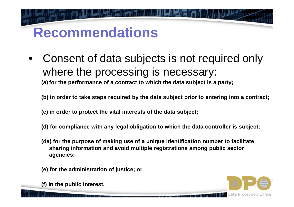$\bullet$  Consent of data subjects is not required only where the processing is necessary:

**(a) for the performance of a contract to which the data subject is a party;**

**(b) in order to take steps required by the data subject prior to entering into a contract;**

**(c) in order to protect the vital interests of the data subject;**

- **(d) for compliance with any legal obligation to which the data controller is subject;**
- **(da) for the purpose of making use of a unique identification number to facilitate sharing information and avoid multiple registrations among public sector agencies;**
- **(e) for the administration of justice; or**

**(f) in the public interest.**

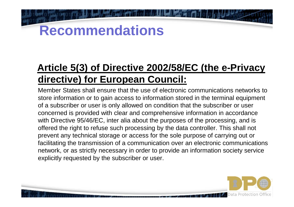#### **Article 5(3) of Directive 2002/58/EC (the e-Privacydirective) for European Council:**

Member States shall ensure that the use of electronic communications networks to store information or to gain access to information stored in the terminal equipment of a subscriber or user is only allowed on condition that the subscriber or user concerned is provided with clear and comprehensive information in accordance with Directive 95/46/EC, inter alia about the purposes of the processing, and is offered the right to refuse such processing by the data controller. This shall not prevent any technical storage or access for the sole purpose of carrying out or facilitating the transmission of a communication over an electronic communications network, or as strictly necessary in order to provide an information society service explicitly requested by the subscriber or user.

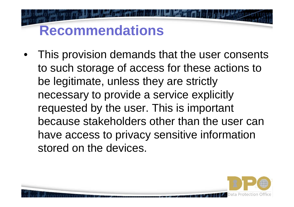• This provision demands that the user consents to such storage of access for these actions to be legitimate, unless they are strictly necessary to provide a service explicitly requested by the user. This is important because stakeholders other than the user can have access to privacy sensitive information stored on the devices.

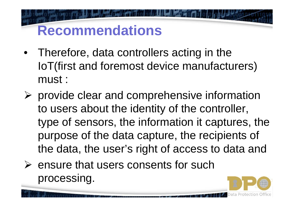- Therefore, data controllers acting in the IoT(first and foremost device manufacturers) must :
- $\triangleright$  provide clear and comprehensive information to users about the identity of the controller, type of sensors, the information it captures, the purpose of the data capture, the recipients of the data, the user's right of access to data and
- $\triangleright$  ensure that users consents for such processing processing.

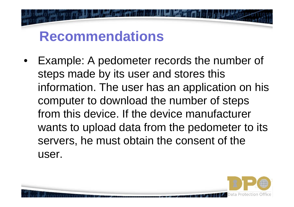$\bullet$  Example: A pedometer records the number of steps made by its user and stores this information. The user has an application on his computer to download the number of steps from this device. If the device manufacturer wants to upload data from the pedometer to its servers, he must obtain the consent of the user.

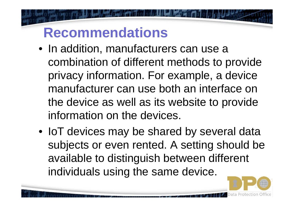- In addition, manufacturers can use a combination of different methods to provide privacy information. For example, a device manufacturer can use both an interface on the device as well as its website to provide information on the devices.
- IoT devices may be shared by several data subjects or even rented. A setting should be available to distinguish between different individuals using the same device.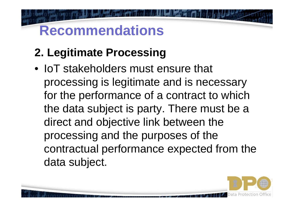#### **2. Legitimate Processing**

• IoT stakeholders must ensure that processing is legitimate and is necessary for the performance of a contract to which the data subject is party. There must be a direct and objective link between the processing and the purposes of the contractual performance expected from the data subject.

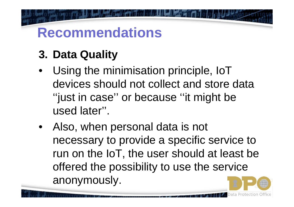#### **3. Data Quality**

- • Using the minimisation principle, IoT devices should not collect and store data ''just in case'' or because ''it might be used later''.
- Also, when personal data is not necessary to provide a specific service to run on the IoT, the user should at least be offered the possibility to use the service anonymously.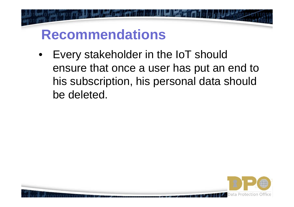$\bullet$  Every stakeholder in the IoT should ensure that once a user has put an end to his subscription, his personal data should be deleted.

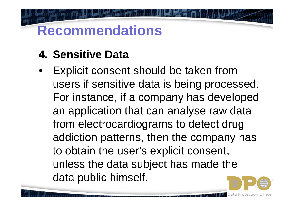#### **4. Sensitive Data**

• Explicit consent should be taken from users if sensitive data is being processed. For instance, if a company has developed an application that can analyse raw data from electrocardiograms to detect drug addiction patterns, then the company has to obtain the user's explicit consent, unless the data subject has made the data public himself.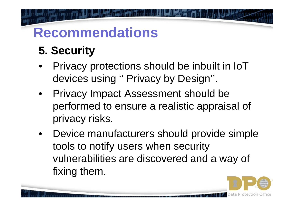#### **5. Security**

- • Privacy protections should be inbuilt in IoTdevices using '' Privacy by Design''.
- Privacy Impact Assessment should be performed to ensure a realistic appraisal of privacy risks.
- • Device manufacturers should provide simple tools to notify users when security vulnerabilities are discovered and a way of fixing them.

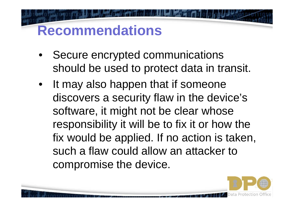- $\bullet$  Secure encrypted communications should be used to protect data in transit.
- • It may also happen that if someone discovers a security flaw in the device's software, it might not be clear whose responsibility it will be to fix it or how the fix would be applied. If no action is taken, such a flaw could allow an attacker to compromise the device.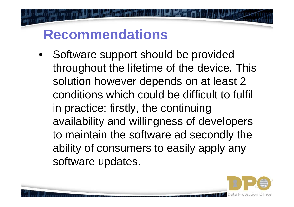• Software support should be provided throughout the lifetime of the device. This solution however depends on at least 2 conditions which could be difficult to fulfil in practice: firstly, the continuing availability and willingness of developers to maintain the software ad secondly the ability of consumers to easily apply any software updates.

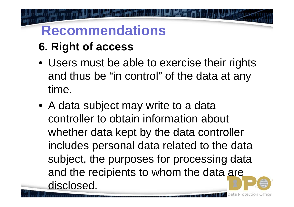- **6. Right of access**
- Users must be able to exercise their rights and thus be "in control" of the data at any time.
- A data subject may write to a data controller to obtain information about whether data kept by the data controller includes personal data related to the data subject, the purposes for processing data and the recipients to whom the data are disclosed.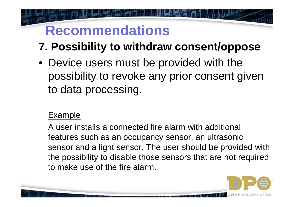- **7. Possibility to withdraw consent/oppose**
- Device users must be provided with the possibility to revoke any prior consent given to data processing.

#### Example

A user installs a connected fire alarm with additional features such as an occupancy sensor, an ultrasonic sensor and a light sensor. The user should be provided with the possibility to disable those sensors that are not required to make use of the fire alarm.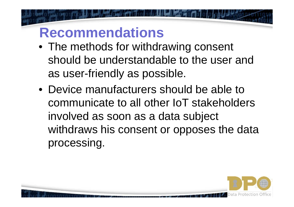- The methods for withdrawing consent should be understandable to the user and as user-friendly as possible.
- Device manufacturers should be able to communicate to all other IoT stakeholders involved as soon as a data subject withdraws his consent or opposes the data processing.

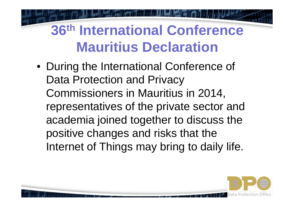• During the International Conference of Data Protection and Privacy Commissioners in Mauritius in 2014, representatives of the private sector and academia joined together to discuss the positive changes and risks that the Internet of Things may bring to daily life.

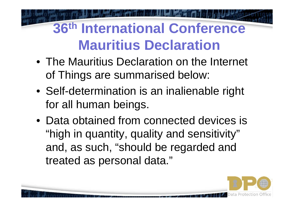- The Mauritius Declaration on the Internet of Things are summarised below:
- Self-determination is an inalienable right for all human beings.
- Data obtained from connected devices is "high in quantity, quality and sensitivity" and, as such, "should be regarded and treated as personal data."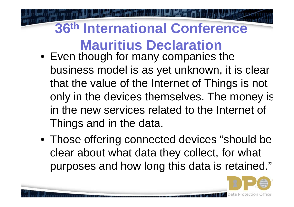- Even though for many companies the business model is as yet unknown, it is clear that the value of the Internet of Things is not only in the devices themselves. The money is in the new services related to the Internet of Things and in the data.
- Those offering connected devices "should be clear about what data they collect, for what purposes and how long this data is retained."

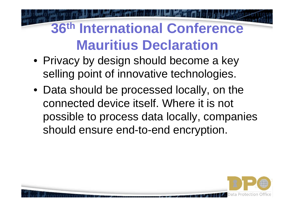- Privacy by design should become a key selling point of innovative technologies.
- Data should be processed locally, on the connected device itself. Where it is not possible to process data locally, companies should ensure end-to-end encryption.

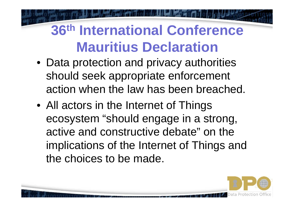- Data protection and privacy authorities should seek appropriate enforcement action when the law has been breached.
- All actors in the Internet of Things ecosystem "should engage in a strong, active and constructive debate" on the implications of the Internet of Things and the choices to be made.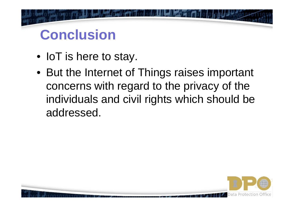#### **Conclusion**

- IoT is here to stay.
- But the Internet of Things raises important concerns with regard to the privacy of the individuals and civil rights which should be addressed.

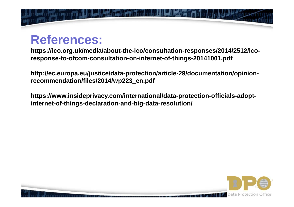

#### **References:**

**https://ico.org.uk/media/about-the-ico/consultation-responses/2014/2512/icoresponse-to-ofcom-consultation-on-internet-of-things-20141001.pdf**

**http://ec.europa.eu/justice/data-protection/article-29/documentation/opinionrecommendation/files/2014/wp223\_en.pdf** 

**https://www.insideprivacy.com/international/data-protection-officials-adoptinternet internet-of-things-declaration declaration-and-big-data-resolution/ resolution/**